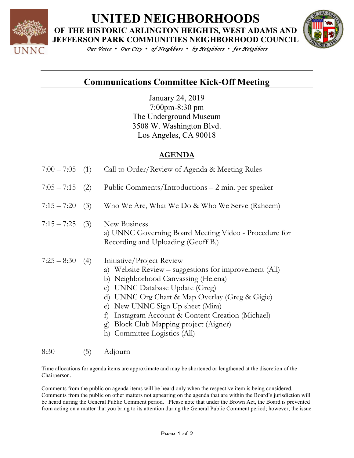

# **UNITED NEIGHBORHOODS**

**OF THE HISTORIC ARLINGTON HEIGHTS, WEST ADAMS AND** 



*Our Voice • Our City • of Neighbors • by Neighbors • for Neighbors* 

## **Communications Committee Kick-Off Meeting**

January 24, 2019 7:00pm-8:30 pm The Underground Museum 3508 W. Washington Blvd. Los Angeles, CA 90018

### **AGENDA**

| $7:00 - 7:05$ (1) |     | Call to Order/Review of Agenda & Meeting Rules                                                                                                                                                                                                                                                                                                                                   |
|-------------------|-----|----------------------------------------------------------------------------------------------------------------------------------------------------------------------------------------------------------------------------------------------------------------------------------------------------------------------------------------------------------------------------------|
| $7:05 - 7:15$     | (2) | Public Comments/Introductions – 2 min. per speaker                                                                                                                                                                                                                                                                                                                               |
| $7:15 - 7:20$     | (3) | Who We Are, What We Do & Who We Serve (Raheem)                                                                                                                                                                                                                                                                                                                                   |
| $7:15 - 7:25$ (3) |     | New Business<br>a) UNNC Governing Board Meeting Video - Procedure for<br>Recording and Uploading (Geoff B.)                                                                                                                                                                                                                                                                      |
| $7:25 - 8:30$     | (4) | Initiative/Project Review<br>a) Website Review - suggestions for improvement (All)<br>b) Neighborhood Canvassing (Helena)<br>c) UNNC Database Update (Greg)<br>d) UNNC Org Chart & Map Overlay (Greg & Gigie)<br>e) New UNNC Sign Up sheet (Mira)<br>f) Instagram Account & Content Creation (Michael)<br>g) Block Club Mapping project (Aigner)<br>h) Committee Logistics (All) |

#### 8:30 (5) Adjourn

Time allocations for agenda items are approximate and may be shortened or lengthened at the discretion of the Chairperson.

Comments from the public on agenda items will be heard only when the respective item is being considered. Comments from the public on other matters not appearing on the agenda that are within the Board's jurisdiction will be heard during the General Public Comment period. Please note that under the Brown Act, the Board is prevented from acting on a matter that you bring to its attention during the General Public Comment period; however, the issue